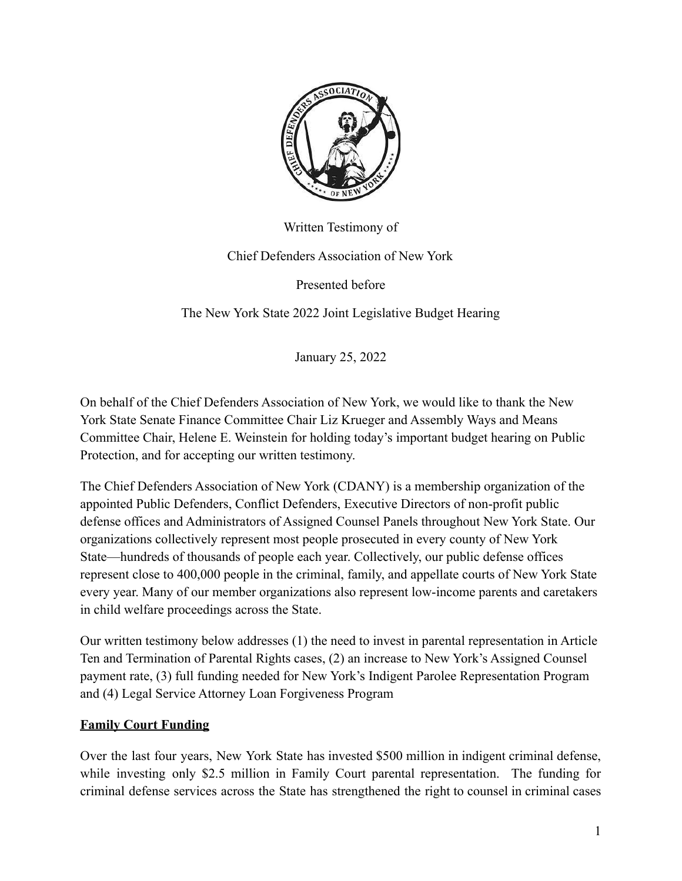

Written Testimony of

Chief Defenders Association of New York

Presented before

The New York State 2022 Joint Legislative Budget Hearing

January 25, 2022

On behalf of the Chief Defenders Association of New York, we would like to thank the New York State Senate Finance Committee Chair Liz Krueger and Assembly Ways and Means Committee Chair, Helene E. Weinstein for holding today's important budget hearing on Public Protection, and for accepting our written testimony.

The Chief Defenders Association of New York (CDANY) is a membership organization of the appointed Public Defenders, Conflict Defenders, Executive Directors of non-profit public defense offices and Administrators of Assigned Counsel Panels throughout New York State. Our organizations collectively represent most people prosecuted in every county of New York State—hundreds of thousands of people each year. Collectively, our public defense offices represent close to 400,000 people in the criminal, family, and appellate courts of New York State every year. Many of our member organizations also represent low-income parents and caretakers in child welfare proceedings across the State.

Our written testimony below addresses (1) the need to invest in parental representation in Article Ten and Termination of Parental Rights cases, (2) an increase to New York's Assigned Counsel payment rate, (3) full funding needed for New York's Indigent Parolee Representation Program and (4) Legal Service Attorney Loan Forgiveness Program

#### **Family Court Funding**

Over the last four years, New York State has invested \$500 million in indigent criminal defense, while investing only \$2.5 million in Family Court parental representation. The funding for criminal defense services across the State has strengthened the right to counsel in criminal cases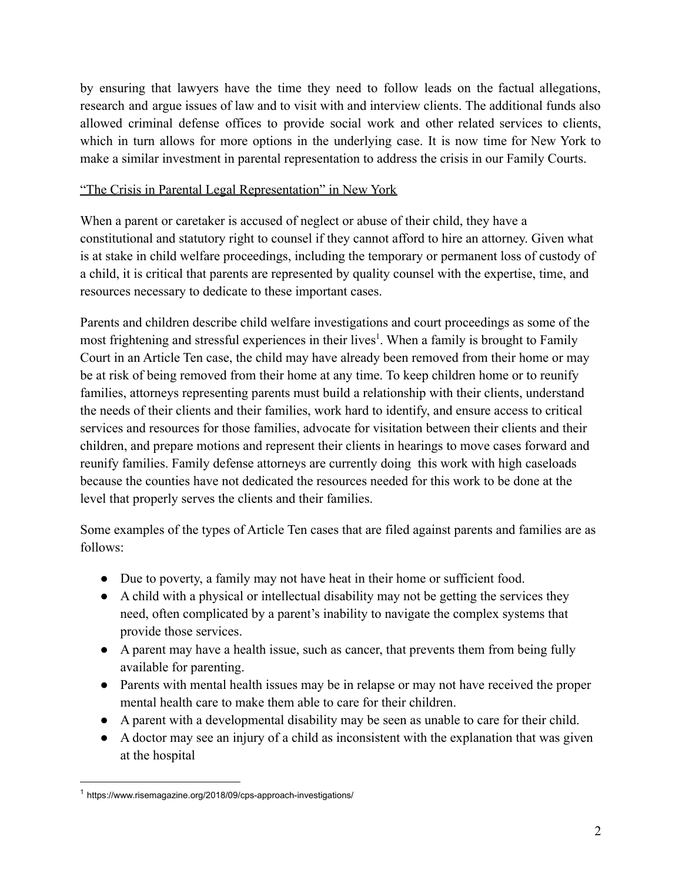by ensuring that lawyers have the time they need to follow leads on the factual allegations, research and argue issues of law and to visit with and interview clients. The additional funds also allowed criminal defense offices to provide social work and other related services to clients, which in turn allows for more options in the underlying case. It is now time for New York to make a similar investment in parental representation to address the crisis in our Family Courts.

#### "The Crisis in Parental Legal Representation" in New York

When a parent or caretaker is accused of neglect or abuse of their child, they have a constitutional and statutory right to counsel if they cannot afford to hire an attorney. Given what is at stake in child welfare proceedings, including the temporary or permanent loss of custody of a child, it is critical that parents are represented by quality counsel with the expertise, time, and resources necessary to dedicate to these important cases.

Parents and children describe child welfare investigations and court proceedings as some of the most frightening and stressful experiences in their lives<sup>1</sup>. When a family is brought to Family Court in an Article Ten case, the child may have already been removed from their home or may be at risk of being removed from their home at any time. To keep children home or to reunify families, attorneys representing parents must build a relationship with their clients, understand the needs of their clients and their families, work hard to identify, and ensure access to critical services and resources for those families, advocate for visitation between their clients and their children, and prepare motions and represent their clients in hearings to move cases forward and reunify families. Family defense attorneys are currently doing this work with high caseloads because the counties have not dedicated the resources needed for this work to be done at the level that properly serves the clients and their families.

Some examples of the types of Article Ten cases that are filed against parents and families are as follows:

- Due to poverty, a family may not have heat in their home or sufficient food.
- A child with a physical or intellectual disability may not be getting the services they need, often complicated by a parent's inability to navigate the complex systems that provide those services.
- A parent may have a health issue, such as cancer, that prevents them from being fully available for parenting.
- Parents with mental health issues may be in relapse or may not have received the proper mental health care to make them able to care for their children.
- A parent with a developmental disability may be seen as unable to care for their child.
- A doctor may see an injury of a child as inconsistent with the explanation that was given at the hospital

<sup>1</sup> https://www.risemagazine.org/2018/09/cps-approach-investigations/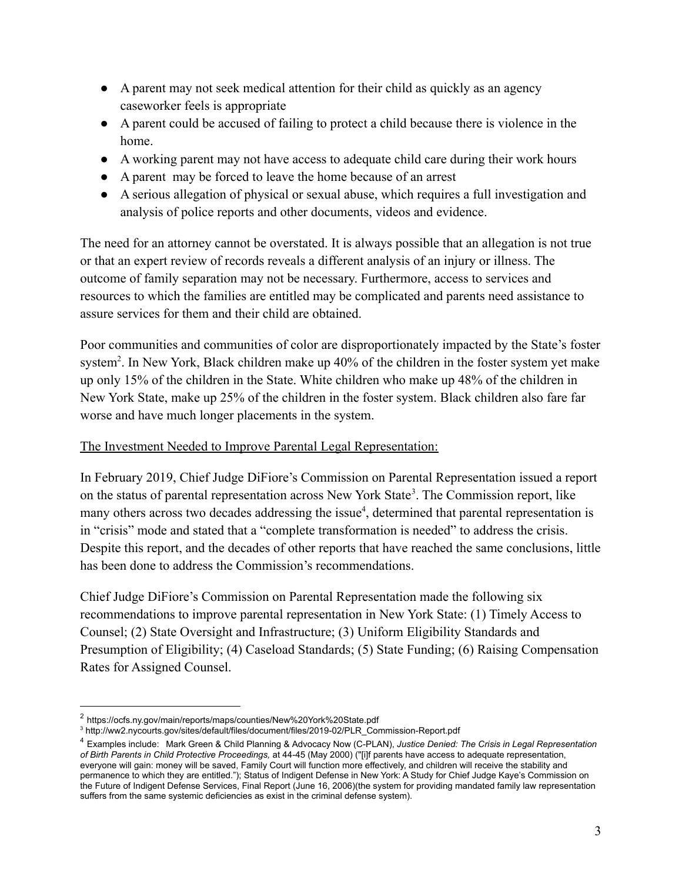- A parent may not seek medical attention for their child as quickly as an agency caseworker feels is appropriate
- A parent could be accused of failing to protect a child because there is violence in the home.
- A working parent may not have access to adequate child care during their work hours
- A parent may be forced to leave the home because of an arrest
- A serious allegation of physical or sexual abuse, which requires a full investigation and analysis of police reports and other documents, videos and evidence.

The need for an attorney cannot be overstated. It is always possible that an allegation is not true or that an expert review of records reveals a different analysis of an injury or illness. The outcome of family separation may not be necessary. Furthermore, access to services and resources to which the families are entitled may be complicated and parents need assistance to assure services for them and their child are obtained.

Poor communities and communities of color are disproportionately impacted by the State's foster system<sup>2</sup>. In New York, Black children make up 40% of the children in the foster system yet make up only 15% of the children in the State. White children who make up 48% of the children in New York State, make up 25% of the children in the foster system. Black children also fare far worse and have much longer placements in the system.

## The Investment Needed to Improve Parental Legal Representation:

In February 2019, Chief Judge DiFiore's Commission on Parental Representation issued a report on the status of parental representation across New York State<sup>3</sup>. The Commission report, like many others across two decades addressing the issue<sup>4</sup>, determined that parental representation is in "crisis" mode and stated that a "complete transformation is needed" to address the crisis. Despite this report, and the decades of other reports that have reached the same conclusions, little has been done to address the Commission's recommendations.

Chief Judge DiFiore's Commission on Parental Representation made the following six recommendations to improve parental representation in New York State: (1) Timely Access to Counsel; (2) State Oversight and Infrastructure; (3) Uniform Eligibility Standards and Presumption of Eligibility; (4) Caseload Standards; (5) State Funding; (6) Raising Compensation Rates for Assigned Counsel.

<sup>2</sup> https://ocfs.ny.gov/main/reports/maps/counties/New%20York%20State.pdf

<sup>3</sup> http://ww2.nycourts.gov/sites/default/files/document/files/2019-02/PLR\_Commission-Report.pdf

<sup>4</sup> Examples include: Mark Green & Child Planning & Advocacy Now (C-PLAN), *Justice Denied: The Crisis in Legal Representation of Birth Parents in Child Protective Proceedings,* at 44-45 (May 2000) ("[i]f parents have access to adequate representation, everyone will gain: money will be saved, Family Court will function more effectively, and children will receive the stability and permanence to which they are entitled."); Status of Indigent Defense in New York: A Study for Chief Judge Kaye's Commission on the Future of Indigent Defense Services, Final Report (June 16, 2006)(the system for providing mandated family law representation suffers from the same systemic deficiencies as exist in the criminal defense system).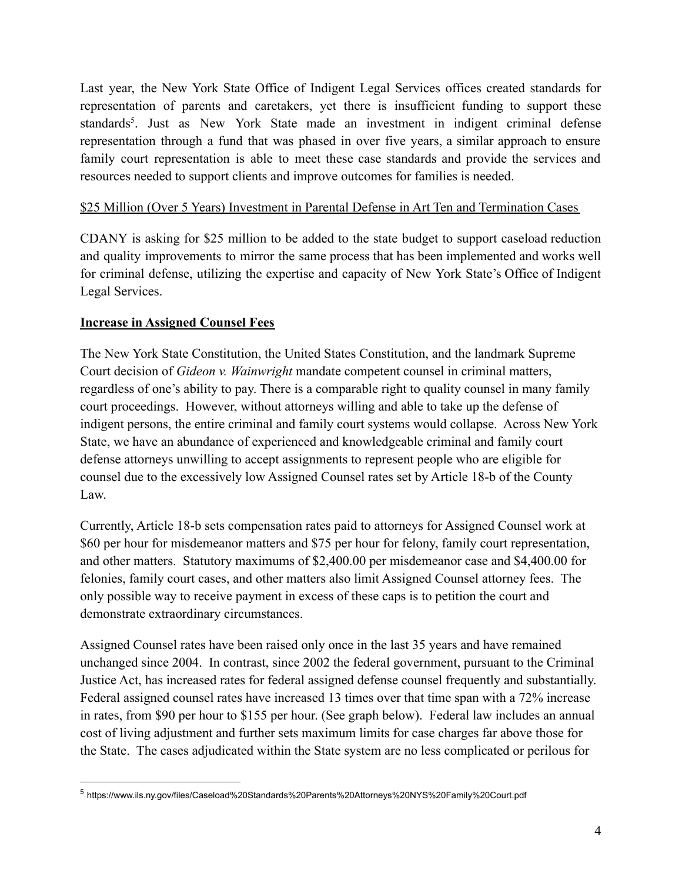Last year, the New York State Office of Indigent Legal Services offices created standards for representation of parents and caretakers, yet there is insufficient funding to support these standards<sup>5</sup>. Just as New York State made an investment in indigent criminal defense representation through a fund that was phased in over five years, a similar approach to ensure family court representation is able to meet these case standards and provide the services and resources needed to support clients and improve outcomes for families is needed.

#### \$25 Million (Over 5 Years) Investment in Parental Defense in Art Ten and Termination Cases

CDANY is asking for \$25 million to be added to the state budget to support caseload reduction and quality improvements to mirror the same process that has been implemented and works well for criminal defense, utilizing the expertise and capacity of New York State's Office of Indigent Legal Services.

### **Increase in Assigned Counsel Fees**

The New York State Constitution, the United States Constitution, and the landmark Supreme Court decision of *Gideon v. Wainwright* mandate competent counsel in criminal matters, regardless of one's ability to pay. There is a comparable right to quality counsel in many family court proceedings. However, without attorneys willing and able to take up the defense of indigent persons, the entire criminal and family court systems would collapse. Across New York State, we have an abundance of experienced and knowledgeable criminal and family court defense attorneys unwilling to accept assignments to represent people who are eligible for counsel due to the excessively low Assigned Counsel rates set by Article 18-b of the County Law.

Currently, Article 18-b sets compensation rates paid to attorneys for Assigned Counsel work at \$60 per hour for misdemeanor matters and \$75 per hour for felony, family court representation, and other matters. Statutory maximums of \$2,400.00 per misdemeanor case and \$4,400.00 for felonies, family court cases, and other matters also limit Assigned Counsel attorney fees. The only possible way to receive payment in excess of these caps is to petition the court and demonstrate extraordinary circumstances.

Assigned Counsel rates have been raised only once in the last 35 years and have remained unchanged since 2004. In contrast, since 2002 the federal government, pursuant to the Criminal Justice Act, has increased rates for federal assigned defense counsel frequently and substantially. Federal assigned counsel rates have increased 13 times over that time span with a 72% increase in rates, from \$90 per hour to \$155 per hour. (See graph below). Federal law includes an annual cost of living adjustment and further sets maximum limits for case charges far above those for the State. The cases adjudicated within the State system are no less complicated or perilous for

<sup>5</sup> https://www.ils.ny.gov/files/Caseload%20Standards%20Parents%20Attorneys%20NYS%20Family%20Court.pdf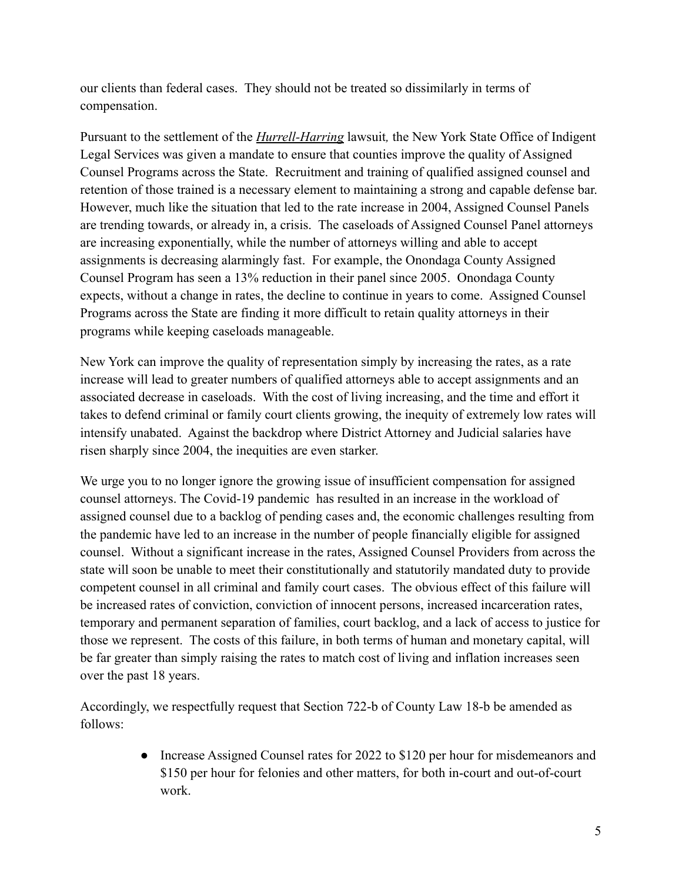our clients than federal cases. They should not be treated so dissimilarly in terms of compensation.

Pursuant to the settlement of the *Hurrell-Harring* lawsuit*,* the New York State Office of Indigent Legal Services was given a mandate to ensure that counties improve the quality of Assigned Counsel Programs across the State. Recruitment and training of qualified assigned counsel and retention of those trained is a necessary element to maintaining a strong and capable defense bar. However, much like the situation that led to the rate increase in 2004, Assigned Counsel Panels are trending towards, or already in, a crisis. The caseloads of Assigned Counsel Panel attorneys are increasing exponentially, while the number of attorneys willing and able to accept assignments is decreasing alarmingly fast. For example, the Onondaga County Assigned Counsel Program has seen a 13% reduction in their panel since 2005. Onondaga County expects, without a change in rates, the decline to continue in years to come. Assigned Counsel Programs across the State are finding it more difficult to retain quality attorneys in their programs while keeping caseloads manageable.

New York can improve the quality of representation simply by increasing the rates, as a rate increase will lead to greater numbers of qualified attorneys able to accept assignments and an associated decrease in caseloads. With the cost of living increasing, and the time and effort it takes to defend criminal or family court clients growing, the inequity of extremely low rates will intensify unabated. Against the backdrop where District Attorney and Judicial salaries have risen sharply since 2004, the inequities are even starker.

We urge you to no longer ignore the growing issue of insufficient compensation for assigned counsel attorneys. The Covid-19 pandemic has resulted in an increase in the workload of assigned counsel due to a backlog of pending cases and, the economic challenges resulting from the pandemic have led to an increase in the number of people financially eligible for assigned counsel. Without a significant increase in the rates, Assigned Counsel Providers from across the state will soon be unable to meet their constitutionally and statutorily mandated duty to provide competent counsel in all criminal and family court cases. The obvious effect of this failure will be increased rates of conviction, conviction of innocent persons, increased incarceration rates, temporary and permanent separation of families, court backlog, and a lack of access to justice for those we represent. The costs of this failure, in both terms of human and monetary capital, will be far greater than simply raising the rates to match cost of living and inflation increases seen over the past 18 years.

Accordingly, we respectfully request that Section 722-b of County Law 18-b be amended as follows:

> • Increase Assigned Counsel rates for 2022 to \$120 per hour for misdemeanors and \$150 per hour for felonies and other matters, for both in-court and out-of-court work.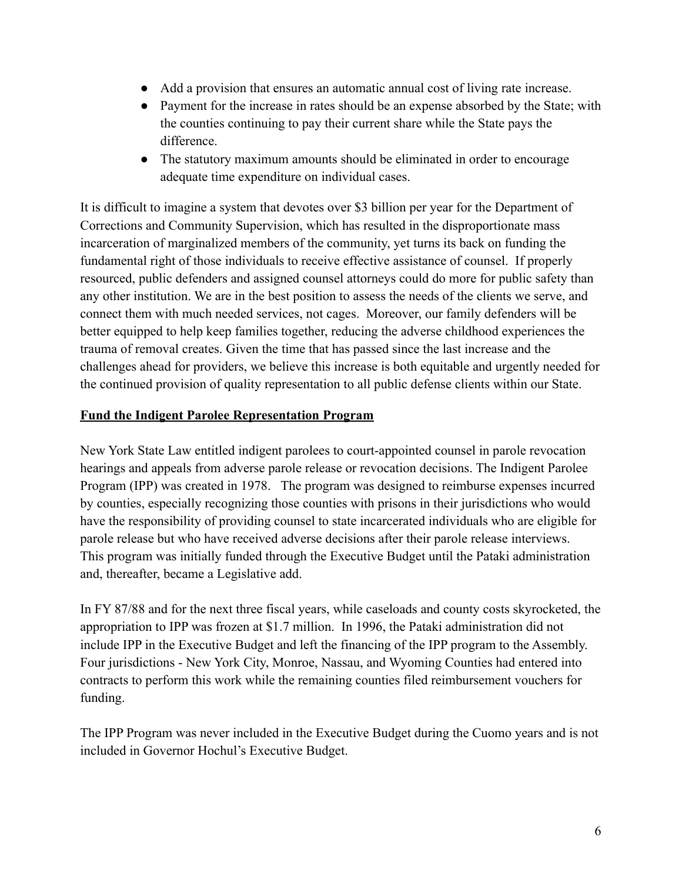- Add a provision that ensures an automatic annual cost of living rate increase.
- Payment for the increase in rates should be an expense absorbed by the State; with the counties continuing to pay their current share while the State pays the difference.
- The statutory maximum amounts should be eliminated in order to encourage adequate time expenditure on individual cases.

It is difficult to imagine a system that devotes over \$3 billion per year for the Department of Corrections and Community Supervision, which has resulted in the disproportionate mass incarceration of marginalized members of the community, yet turns its back on funding the fundamental right of those individuals to receive effective assistance of counsel. If properly resourced, public defenders and assigned counsel attorneys could do more for public safety than any other institution. We are in the best position to assess the needs of the clients we serve, and connect them with much needed services, not cages. Moreover, our family defenders will be better equipped to help keep families together, reducing the adverse childhood experiences the trauma of removal creates. Given the time that has passed since the last increase and the challenges ahead for providers, we believe this increase is both equitable and urgently needed for the continued provision of quality representation to all public defense clients within our State.

### **Fund the Indigent Parolee Representation Program**

New York State Law entitled indigent parolees to court-appointed counsel in parole revocation hearings and appeals from adverse parole release or revocation decisions. The Indigent Parolee Program (IPP) was created in 1978. The program was designed to reimburse expenses incurred by counties, especially recognizing those counties with prisons in their jurisdictions who would have the responsibility of providing counsel to state incarcerated individuals who are eligible for parole release but who have received adverse decisions after their parole release interviews. This program was initially funded through the Executive Budget until the Pataki administration and, thereafter, became a Legislative add.

In FY 87/88 and for the next three fiscal years, while caseloads and county costs skyrocketed, the appropriation to IPP was frozen at \$1.7 million. In 1996, the Pataki administration did not include IPP in the Executive Budget and left the financing of the IPP program to the Assembly. Four jurisdictions - New York City, Monroe, Nassau, and Wyoming Counties had entered into contracts to perform this work while the remaining counties filed reimbursement vouchers for funding.

The IPP Program was never included in the Executive Budget during the Cuomo years and is not included in Governor Hochul's Executive Budget.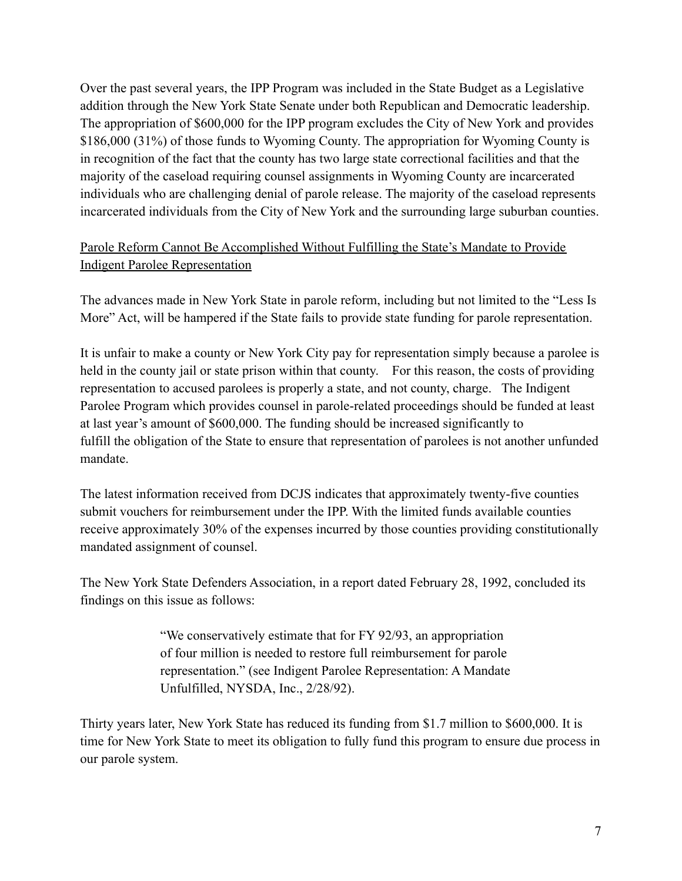Over the past several years, the IPP Program was included in the State Budget as a Legislative addition through the New York State Senate under both Republican and Democratic leadership. The appropriation of \$600,000 for the IPP program excludes the City of New York and provides \$186,000 (31%) of those funds to Wyoming County. The appropriation for Wyoming County is in recognition of the fact that the county has two large state correctional facilities and that the majority of the caseload requiring counsel assignments in Wyoming County are incarcerated individuals who are challenging denial of parole release. The majority of the caseload represents incarcerated individuals from the City of New York and the surrounding large suburban counties.

# Parole Reform Cannot Be Accomplished Without Fulfilling the State's Mandate to Provide Indigent Parolee Representation

The advances made in New York State in parole reform, including but not limited to the "Less Is More" Act, will be hampered if the State fails to provide state funding for parole representation.

It is unfair to make a county or New York City pay for representation simply because a parolee is held in the county jail or state prison within that county. For this reason, the costs of providing representation to accused parolees is properly a state, and not county, charge. The Indigent Parolee Program which provides counsel in parole-related proceedings should be funded at least at last year's amount of \$600,000. The funding should be increased significantly to fulfill the obligation of the State to ensure that representation of parolees is not another unfunded mandate.

The latest information received from DCJS indicates that approximately twenty-five counties submit vouchers for reimbursement under the IPP. With the limited funds available counties receive approximately 30% of the expenses incurred by those counties providing constitutionally mandated assignment of counsel.

The New York State Defenders Association, in a report dated February 28, 1992, concluded its findings on this issue as follows:

> "We conservatively estimate that for FY 92/93, an appropriation of four million is needed to restore full reimbursement for parole representation." (see Indigent Parolee Representation: A Mandate Unfulfilled, NYSDA, Inc., 2/28/92).

Thirty years later, New York State has reduced its funding from \$1.7 million to \$600,000. It is time for New York State to meet its obligation to fully fund this program to ensure due process in our parole system.